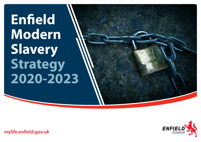# **Enfield Modern Slavery Strategy 2020-2023**



**[mylife.enfield.gov.uk](https://mylife.enfield.gov.uk)**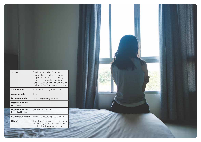| Scope                               | Enfield aims to identify victims,<br>support them with their care and<br>support needs. Have community<br>safety services in place to disrupt<br>gang masters and ensure our supply |  |  |
|-------------------------------------|-------------------------------------------------------------------------------------------------------------------------------------------------------------------------------------|--|--|
| Approved by                         | chains are free from modern slavery.<br>To be approved by the Cabinet                                                                                                               |  |  |
| Approval date                       | <b>TBC</b>                                                                                                                                                                          |  |  |
| <b>Document Author</b>              | <b>Adult Safeguarding Services</b>                                                                                                                                                  |  |  |
| Document owner -<br>Corporate       |                                                                                                                                                                                     |  |  |
| Document owner-<br>Portfolio Holder | Cllr Alev Cazimoglu                                                                                                                                                                 |  |  |
|                                     |                                                                                                                                                                                     |  |  |
| Governance Board                    | <b>Enfield Safeguarding Adults Board</b>                                                                                                                                            |  |  |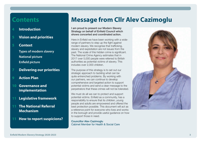#### **Contents**

- **4 [Introduction](#page-3-0)**
- **5 [Vision and priorities](#page-4-0)**
- **5 [Context](#page-4-0)**

**[Types of modern slavery](#page-4-0)  [National picture](#page-5-0)  [Enfield picture](#page-5-0)** 

- **7 [Delivering our priorities](#page-6-0)**
- **9 [Action Plan](#page-8-0)**
- **10 [Governance and](#page-9-0)  [implementation](#page-9-0)**
- **11 [Legislative framework](#page-10-0)**
- **11 [The National Referral](#page-10-0)  [Mechanism](#page-10-0)**
- **11 [How to report suspicions?](#page-10-0)**

### **Message from Cllr Alev Cazimoglu**

I am proud to present our Modern Slavery Strategy on behalf of Enfield Council which shows concerted and coordinated action.

Here in Enfield we have been working with a widerange of partners to step up the fight against modern slavery. We recognise that trafficking, slavery and exploitation are not issues from the past. The scale of this hidden crime is significant. The National Crime Agency estimates that in 2017 over 5,000 people were referred to British authorities as potential victims of slavery. This includes over 2,000 children.

The purpose of this strategy is to set out our strategic approach to tackling what can be quite entrenched problems. By working with our partners, we can continue to develop comprehensive and targeted action to support potential victims and send a clear message to the perpetrators that these crimes will not be tolerated.

We must do all we can to protect and support potential victims. Enfield as a community, has a responsibility to ensure that its children, young people and adults are empowered and offered the best protection possible. This document will act as a reference point for everyone who lives and works in the borough and provide useful guidance on how to support those in need.

Councillor Alev Cazimoglu Cabinet Member for Health & Social Care

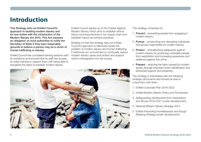#### <span id="page-3-0"></span>**Introduction**

This Strategy sets out Enfield Council's approach to tackling modern slavery and its new duties with the introduction of the Modern Slavery Act 2015. This Act imposes an obligation on local authorities to notify the Secretary of State if they have reasonable grounds to believe a person may be a victim of human trafficking or slavery.

Enfield Council has completed training sessions with its workforce and ensured that its staff has access to online training to support them with being able to recognise the signs of possible modern slavery.

Enfield Council signed up to the Charter Against Modern Slavery which aims to establish ethical labour sourcing practices in our supply chain and establish robust recruitment practices.

Building on that this strategy sets out Enfield Council's approach to effectively tackle the problem of modern slavery and human trafficking. It reinforces our commitment to continually reduce modern slavery cases and protect and support victim's reintegration into the society.



This strategy comprises of:

- 1. **Prevent** preventing people from engaging in modern slavery.
- 2. Pursue prosecuting and disrupting individuals and groups responsible for modern slavery.
- 3. Protect strengthening safeguards against modern slavery by protecting vulnerable people from exploitation and increasing awareness and resilience against this crime.
- 4. Prepare reducing the harm caused by modern slavery through improved victim identification and enhanced support and protection.

This strategy is interrelated with the following strategic documents and should be read in conjunction with them.

- 1. Enfield Corporate Plan 2018-2022
- 2. Enfield Modern Slavery Policy and Procedures
- 3. Safeguarding Adolescents from Exploitation and Abuse 2019-2021 (under development)
- 4. National Modern Slavery Strategy 2014
- 5. Enfield Preventing Homelessness and Rough Sleeping Strategy (under development)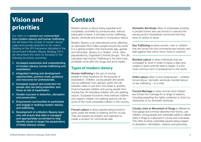# <span id="page-4-0"></span>**Vision and priorities**

Our vision is to protect our communities from modern slavery and human trafficking. We will reduce the number of modern slavery cases and provide protection to the victims. Building on the 4Ps framework stipulated in the Government's Modern Slavery Strategy 2014, we will achieve this vision by focusing on the following six priority outcomes:

- 1. Increased awareness and understanding of modern slavery, human trafficking and exploitation.
- 2. Integrated training and development opportunities, practice tools, guidance and resources for professionals.
- 3. Increased support and protection for people who are being exploited, and those at risk of exploitation.
- 4. Greater success in detection, disruption and prosecution.
- 5. Empowered communities to participate and engage in tackling modern slavery and trafficking.
- 6. Development of a Modern Slavery team who will ensure that data is managed and appropriately scrutinised to help identify trends to target the perpetrators of these heinous crimes.

### **Context**

Modern slavery is about being exploited and completely controlled by someone else, without being able to leave. It includes human trafficking, slavery, servitude and forced or compulsory labour.

Modern Slavery is an international crime, affecting an estimated 29.8 million people around the world. It is a global problem that transcends age, gender and ethnicities. Slavery is a 'hidden' crime, often perpetrated by Organised Criminal Groups. The UN calculates that Human Trafficking is the third most profitable crime after the drugs and arms trades.

#### **Types of modern slavery**

Human trafficking is the act of moving people to other locations for the purpose of exploitation. Children, young people and adults can be trafficked, from abroad, within the UK, between cities or just from one street to another. Unaccompanied children and young people from outside the UK (including children who are seeking asylum, European Economic Area national children and migrant children not seeking asylum) can be some of the most vulnerable children in the country.

**Forced Labour** is about people being forced to work under the threat of violence and for no pay. They are treated as property and exploited to create a product for commercial sale.

Domestic Servitude refers to employees working in private homes who are forced or coerced into serving and/or fraudulently convinced that they have no option to leave.

Sex Trafficking involves women, men or children that are forced into the commercial sex industry and held against their will by force, fraud or coercion.

Bonded Labour is when individuals that are compelled to work in order to repay a debt and unable to leave until the debt is repaid. It is the most common form of enslavement in the world.

Child Labour refers to any enslavement – whether forced labour, domestic servitude, bonded labour or sex trafficking – of a child.

Forced Marriage is when women and children are forced into marriage for a range of reasons including exploiting the rights conferred on them by citizenship or for domestic servitude.

County Lines or Movement of Drugs is defined as how gangs and criminal networks from towns, use children, young people and vulnerable adults to deliver class A drugs to customers in county and rural areas. This often involves vulnerable people being subject to deception, intimidation, violence and grooming.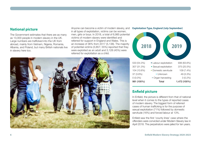#### <span id="page-5-0"></span>**National picture**

The Government estimates that there are as many as 13,000 people in modern slavery in the UK. Large numbers are trafficked into the UK from abroad, mainly from Vietnam, Nigeria, Romania, Albania, and Poland, but many British nationals live in slavery here too.

Anyone can become a victim of modern slavery, and in all types of exploitation, victims can be women, men, girls or boys. In 2018, a total of 6,985 potential victims of modern slavery were identified and referred for support in England and Wales. This is an increase of 36% from 2017 (5,138). The majority of potential victims (3,857; 55%) reported that they were exploited as an adult and 3,128 (45%) were referred for exploitation as a child.

#### **Exploitation Type, England (July-September)**



#### **Enfield picture**

In Enfield, the picture is different from that of national level when it comes to the types of reported cases of modern slavery. The biggest form of referred cases of human trafficking is for the purpose of sexual exploitation (71%) followed by domestic servitude (16%) and forced labour at 13%.

Enfield saw the first 'county lines' case where the offenders were convicted under Modern Slavery law in April 2018. The perpetrators were jailed for ten years.

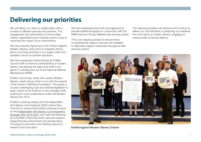## <span id="page-6-0"></span>**Delivering our priorities**

We will deliver our vision in collaboration with a number of different services and partners. The engagement and partnership of communities, charity organisations and voluntary sector is key to maximise the impact of our interventions.

We have recently signed up to the Charter Against Modern Slavery which aims to establish ethical labour sourcing practices in our supply chain and establish robust recruitment practices.

We have developed online training for Enfield Council staff to improve understanding of modern slavery, recognising the signs and what to do about it, including the use of the National Referral Mechanisms (NRM).

Enfield Council also chairs the London Modern Slavery Leads Group which is run with the support of the Human Trafficking Foundation. This group is crucial in developing local and national legislation to keep victims at the forefront of any changes while pushing for more prosecutions under the Modern Slavery Act 2015.

Enfield is working closely with the Independent Anti-Slavery Commissioner (IASC) Dame Sara Thornton to ensure that Enfield continues to work on the [Independent Anti-Slavery Commissioner's](https://www.antislaverycommissioner.co.uk/news-insights/publication-of-the-independent-anti-slavery-commissioner-s-strategic-plan-2019-2021/)  [Strategic Plan 2019-2021](https://www.antislaverycommissioner.co.uk/news-insights/publication-of-the-independent-anti-slavery-commissioner-s-strategic-plan-2019-2021/) and meet the following four priorities: Improving victim care and support, Supporting law enforcement and prosecutions, Focusing on prevention and Getting value from research and innovation.

We have developed links with local agencies to provide additional support in conjunction with the NRM minimum 45-day reflection and recovery period.

This is an ongoing practice to ensure that a comprehensive range of services are available to effectively support individuals throughout their recovery period.

The following priorities will reinforce and continue to deliver our commitments in protecting our residents from the harms of modern slavery, engaging at various levels of service delivery.



Enfield Against Modern Slavery Charter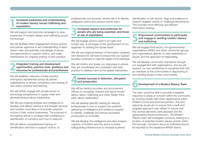Increased awareness and understanding of modern slavery, human trafficking and exploitation

We will support and promote campaigns to raise awareness of modern slavery and trafficking across the borough.

We will facilitate direct engagement across service and partner agencies to aid understanding of each other's roles and activities, knowledge of issues and approaches to support victims, and wider mechanisms for ongoing sharing of best practice.

Integrated training and development opportunities, practice tools, guidance and resources for professionals and practitioners

We will establish networks of best practice champions represented across all partner organisations to ensure consistency and sharing of new policy, practice and learning.

We will further engage with private sector to encourage transparency in supply chain and eliminate/reduce labour exploitation.

We will use ongoing analysis and intelligence to develop and deliver training to the broader services and workers most likely to encounter potential victims in their routine businesses. The purpose of the training will be to increase their confidence in identification of concerns and how to respond.

We will deliver comprehensive training on identification and how to support victims, to

professionals and services, whose role is to directly safeguard victims and prevent further harm.

Increased support and protection for people who are being exploited, and those at risk of exploitation

We will engage service users in an open and honest way, at all stages of the development of our approach to tackling the issues faced.

We will use ongoing reviews of information obtained and demand for services to ensure that our support provision continues to meet the needs of the individual.

We will monitor and review our responses to ensure they are coordinated and consistent with best practice to address harm at the earliest intervention.

#### Greater success in detection, disruption and prosecution

We will be training recruiters and procurement officers to recognise, prevent and report forced labour, labour trafficking and other hidden thirdparty labour exploitation.

We will develop specific training for relevant professionals in how to support the systemic gathering of intelligence and evidence required to identify, challenge and ensure successful prosecution of criminality.

We will develop the intelligence and data analysis capacity of frontline services and a complex safeguarding infrastructure to increase systemic

identification of risk factors, flags and evidence to support targeted activity to challenge perpetrators. This includes more effective and efficient information sharing.

#### Empowered communities to participate and engage in tackling modern slavery and trafficking

We will engage third sector, non-governmental organisations (NGO) and other community groups and organisations directly, to raise awareness of issues, and the approach to responding.

We will develop community champions through our engagement with organisations, and we will support our own workforces to recognise their role as members of the communities in responding to and tackling issues in their communities.

#### Development of a Modern Slavery Team

The team would be able to provide a targeted response to areas of concern within the community by working closely with other departments within Enfield Council and external partners. The joint response would aim to ensure that a swift and targeted approach was utilised to ensure that the criminal elements were exposed and the gangmasters faced prosecution. The Modern Slavery team will investigate concerns relating to a location of potential modern slavery activity within the borough. Concerns about an individual should be reported to the respective MASH teams.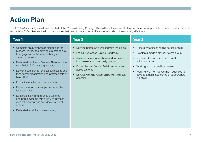## <span id="page-8-0"></span>**Action Plan**

The 2019-20 financial year will see the start of the Modern Slavery Strategy. This will be a three year strategy, and it is our opportunity to better understand what residents of Enfield feel are the important issues that need to be addressed if we are to tackle modern slavery effectively.

| Year 1                                                                                                                                                                                                                                                                                                                                                                                                                                                                                                                                                                                                                                                                 | Year 2                                                                                                                                                                                                                                                                                                 | <b>Year 3</b>                                                                                                                                                                                                                                                                                                                      |
|------------------------------------------------------------------------------------------------------------------------------------------------------------------------------------------------------------------------------------------------------------------------------------------------------------------------------------------------------------------------------------------------------------------------------------------------------------------------------------------------------------------------------------------------------------------------------------------------------------------------------------------------------------------------|--------------------------------------------------------------------------------------------------------------------------------------------------------------------------------------------------------------------------------------------------------------------------------------------------------|------------------------------------------------------------------------------------------------------------------------------------------------------------------------------------------------------------------------------------------------------------------------------------------------------------------------------------|
| • Complete an awareness raising toolkit for<br>Modern Slavery and develop a methodology<br>to engage within the local authority and<br>statutory partners<br>• Dedicated section for Modern Slavery on the<br>new Enfield Safeguarding website<br>• Deliver a conference for local businesses and<br>third sector organisation and professionals by<br>May 2020<br>• Formation of a Modern Slavery Board<br>• Develop modern slavery pathways for the<br>local authority<br>• Data collection from all Enfield systems<br>and police systems with a view to increase<br>criminal prosecutions and identification of<br>victims<br>• Dedicated email for modern slavery | Develop partnership working with the police<br><b>Enfield Awareness Raising Roadshow</b><br>Awareness raising as above and to include<br>businesses and community groups<br>Data collection from all Enfield systems and<br>police systems<br>Develop working relationships with voluntary<br>agencies | General awareness raising across Enfield<br>$\bullet$<br>Develop a modern slavery victims group<br>Increase offer to victims from Enfield<br>voluntary sector<br>Working with national businesses<br>$\bullet$<br>Working with non-Government agencies to<br>$\bullet$<br>develop a dedicated centre of support here<br>in Enfield |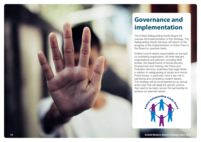<span id="page-9-0"></span>

## **Governance and implementation**

The Enfield Safeguarding Adults Board will oversee the implementation of this Strategy. The Safeguarding Adults Services will report on the progress of the implementation of Action Plan to the Board on quarterly basis.

Enfield Council retains responsibility as the lead co-ordinating organisation. All other relevant organisations and partners, including NHS bodies; the Departments of Social Security, Employment and Training; the Police and Probation Services undertake their legal duties in relation to safeguarding of adults and minors. Police forces, in particular, have a key role in identifying and combating modern slavery. This strategy will be accompanied by an annual action plan that will detail the specific actions that need to be taken across the partnership to

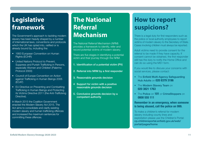## <span id="page-10-0"></span>**Legislative framework**

The Government's approach to tackling modern slavery has been heavily shaped by a number of international laws, conventions and protocols which the UK has opted into, ratified or is already bound by, including the:

- 1950 European Convention on Human Rights (ECHR)
- United Nations Protocol to Prevent, Suppress and Punish Trafficking in Persons, especially Women and Children (Palermo Protocol 2000)
- Council of Europe Convention on Action against Trafficking in Human Beings 2005 (ECAT)
- EU Directive on Preventing and Combatting Trafficking in Human Beings and Protecting its Victims Directive 2011 (the Anti-Trafficking Directive).

In March 2015 the Coalition Government enacted the Modern Slavery Act 2015. The Act aims to consolidate and clarify existing modern slavery and human trafficking offences and increased the maximum sentences for committing these offences.

# **The National Referral Mechanism**

The National Referral Mechanism (NRM) provides a framework to identify, refer and record potential victims of modern slavery.

There are five stages in identifying a potential victim and their journey through the NRM.

- 1. Identification of a potential victim (PV)
- 2. Referral into NRM by a first responder
- 3. Reasonable grounds decision
- 4 Support for victim with a positive reasonable grounds decision
- 5. Conclusive grounds decision by a competent authority

## **How to report suspicions?**

There is a legal duty for first responders such as the police or local authority employees to report victims of modern slavery to the Secretary of State. Cases involving children must always be reported.

Adult victims need to provide consent for the referral to be made if they have capacity. If consent cannot be obtained, the first responder still has the duty to notify the Home Office and can do so using the MS1 form.

If you would like to discuss your concerns with social services, please contact:

- The Enfield Multi-Agency Safeguarding Hub Adults on **020 8379 3196**
- The Modern Slavery Team on **020 3821 1763**
- The Police on **101** or CrimeStoppers on **0800 555 111**

#### **Remember in an emergency, when someone is being abused, call the police on 999.**

To make a children's referral for modern slavery including county lines and exploitation please use the Children's Portal: [cp.childrensportal.enfield.gov.uk/web/](https://cp.childrensportal.enfield.gov.uk/web/portal/pages/home) [portal/pages/home](https://cp.childrensportal.enfield.gov.uk/web/portal/pages/home)